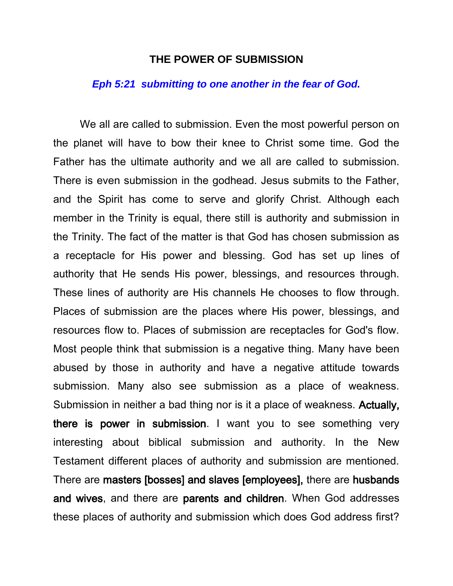## **THE POWER OF SUBMISSION**

## *Eph 5:21 submitting to one another in the fear of God.*

We all are called to submission. Even the most powerful person on the planet will have to bow their knee to Christ some time. God the Father has the ultimate authority and we all are called to submission. There is even submission in the godhead. Jesus submits to the Father, and the Spirit has come to serve and glorify Christ. Although each member in the Trinity is equal, there still is authority and submission in the Trinity. The fact of the matter is that God has chosen submission as a receptacle for His power and blessing. God has set up lines of authority that He sends His power, blessings, and resources through. These lines of authority are His channels He chooses to flow through. Places of submission are the places where His power, blessings, and resources flow to. Places of submission are receptacles for God's flow. Most people think that submission is a negative thing. Many have been abused by those in authority and have a negative attitude towards submission. Many also see submission as a place of weakness. Submission in neither a bad thing nor is it a place of weakness. Actually, there is power in submission. I want you to see something very interesting about biblical submission and authority. In the New Testament different places of authority and submission are mentioned. There are masters [bosses] and slaves [employees], there are husbands and wives, and there are parents and children. When God addresses these places of authority and submission which does God address first?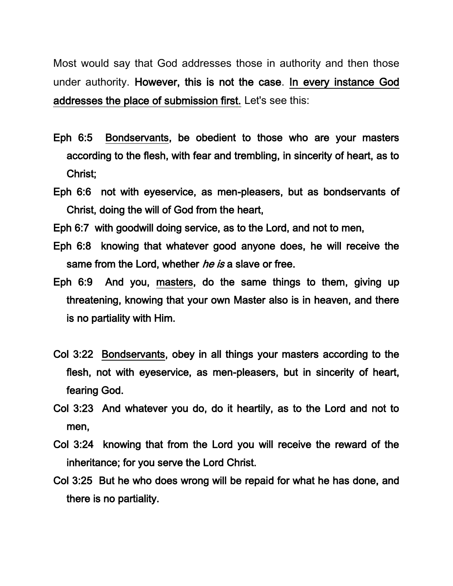Most would say that God addresses those in authority and then those under authority. However, this is not the case. In every instance God addresses the place of submission first. Let's see this:

- Eph 6:5 Bondservants, be obedient to those who are your masters according to the flesh, with fear and trembling, in sincerity of heart, as to Christ;
- Eph 6:6 not with eyeservice, as men-pleasers, but as bondservants of Christ, doing the will of God from the heart,
- Eph 6:7 with goodwill doing service, as to the Lord, and not to men,
- Eph 6:8 knowing that whatever good anyone does, he will receive the same from the Lord, whether *he is* a slave or free.
- Eph 6:9 And you, masters, do the same things to them, giving up threatening, knowing that your own Master also is in heaven, and there is no partiality with Him.
- Col 3:22 Bondservants, obey in all things your masters according to the flesh, not with eyeservice, as men-pleasers, but in sincerity of heart, fearing God.
- Col 3:23 And whatever you do, do it heartily, as to the Lord and not to men,
- Col 3:24 knowing that from the Lord you will receive the reward of the inheritance; for you serve the Lord Christ.
- Col 3:25 But he who does wrong will be repaid for what he has done, and there is no partiality.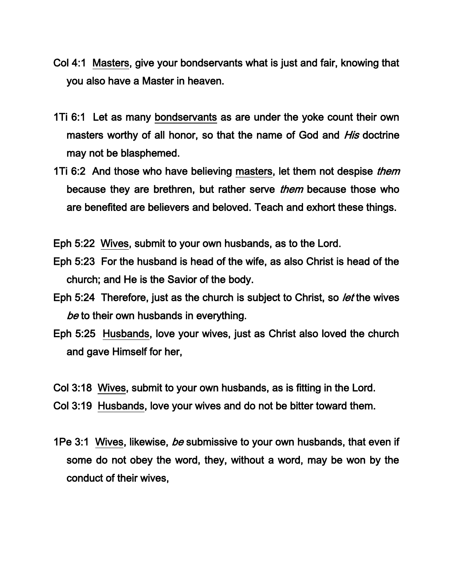- Col 4:1 Masters, give your bondservants what is just and fair, knowing that you also have a Master in heaven.
- 1Ti 6:1 Let as many bondservants as are under the yoke count their own masters worthy of all honor, so that the name of God and *His* doctrine may not be blasphemed.
- 1Ti 6:2 And those who have believing masters, let them not despise *them* because they are brethren, but rather serve *them* because those who are benefited are believers and beloved. Teach and exhort these things.

Eph 5:22 Wives, submit to your own husbands, as to the Lord.

- Eph 5:23 For the husband is head of the wife, as also Christ is head of the church; and He is the Savior of the body.
- Eph 5:24 Therefore, just as the church is subject to Christ, so *let* the wives be to their own husbands in everything.
- Eph 5:25 Husbands, love your wives, just as Christ also loved the church and gave Himself for her,
- Col 3:18 Wives, submit to your own husbands, as is fitting in the Lord.
- Col 3:19 Husbands, love your wives and do not be bitter toward them.
- 1Pe 3:1 Wives, likewise, *be* submissive to your own husbands, that even if some do not obey the word, they, without a word, may be won by the conduct of their wives,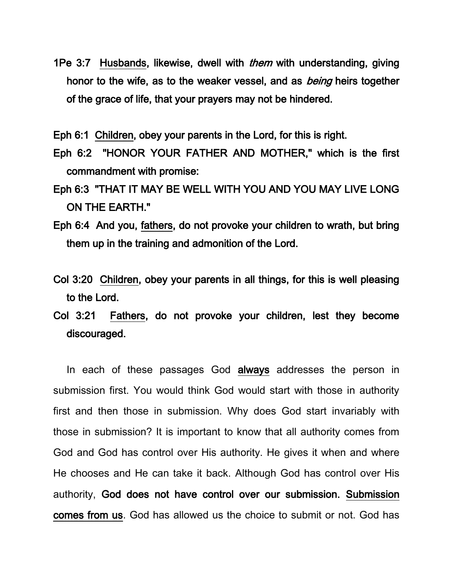1Pe 3:7 Husbands, likewise, dwell with *them* with understanding, giving honor to the wife, as to the weaker vessel, and as *being* heirs together of the grace of life, that your prayers may not be hindered.

Eph 6:1 Children, obey your parents in the Lord, for this is right.

- Eph 6:2 "HONOR YOUR FATHER AND MOTHER," which is the first commandment with promise:
- Eph 6:3 "THAT IT MAY BE WELL WITH YOU AND YOU MAY LIVE LONG ON THE EARTH."
- Eph 6:4 And you, fathers, do not provoke your children to wrath, but bring them up in the training and admonition of the Lord.
- Col 3:20 Children, obey your parents in all things, for this is well pleasing to the Lord.
- Col 3:21 Fathers, do not provoke your children, lest they become discouraged.

In each of these passages God always addresses the person in submission first. You would think God would start with those in authority first and then those in submission. Why does God start invariably with those in submission? It is important to know that all authority comes from God and God has control over His authority. He gives it when and where He chooses and He can take it back. Although God has control over His authority, God does not have control over our submission. Submission comes from us. God has allowed us the choice to submit or not. God has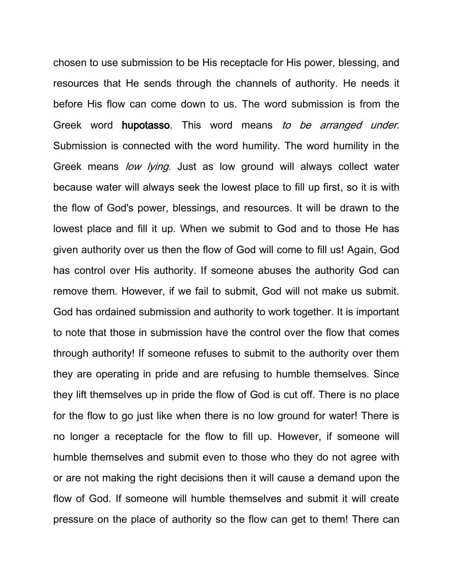chosen to use submission to be His receptacle for His power, blessing, and resources that He sends through the channels of authority. He needs it before His flow can come down to us. The word submission is from the Greek word hupotasso. This word means to be arranged under. Submission is connected with the word humility. The word humility in the Greek means low lying. Just as low ground will always collect water because water will always seek the lowest place to fill up first, so it is with the flow of God's power, blessings, and resources. It will be drawn to the lowest place and fill it up. When we submit to God and to those He has given authority over us then the flow of God will come to fill us! Again, God has control over His authority. If someone abuses the authority God can remove them. However, if we fail to submit, God will not make us submit. God has ordained submission and authority to work together. It is important to note that those in submission have the control over the flow that comes through authority! If someone refuses to submit to the authority over them they are operating in pride and are refusing to humble themselves. Since they lift themselves up in pride the flow of God is cut off. There is no place for the flow to go just like when there is no low ground for water! There is no longer a receptacle for the flow to fill up. However, if someone will humble themselves and submit even to those who they do not agree with or are not making the right decisions then it will cause a demand upon the flow of God. If someone will humble themselves and submit it will create pressure on the place of authority so the flow can get to them! There can